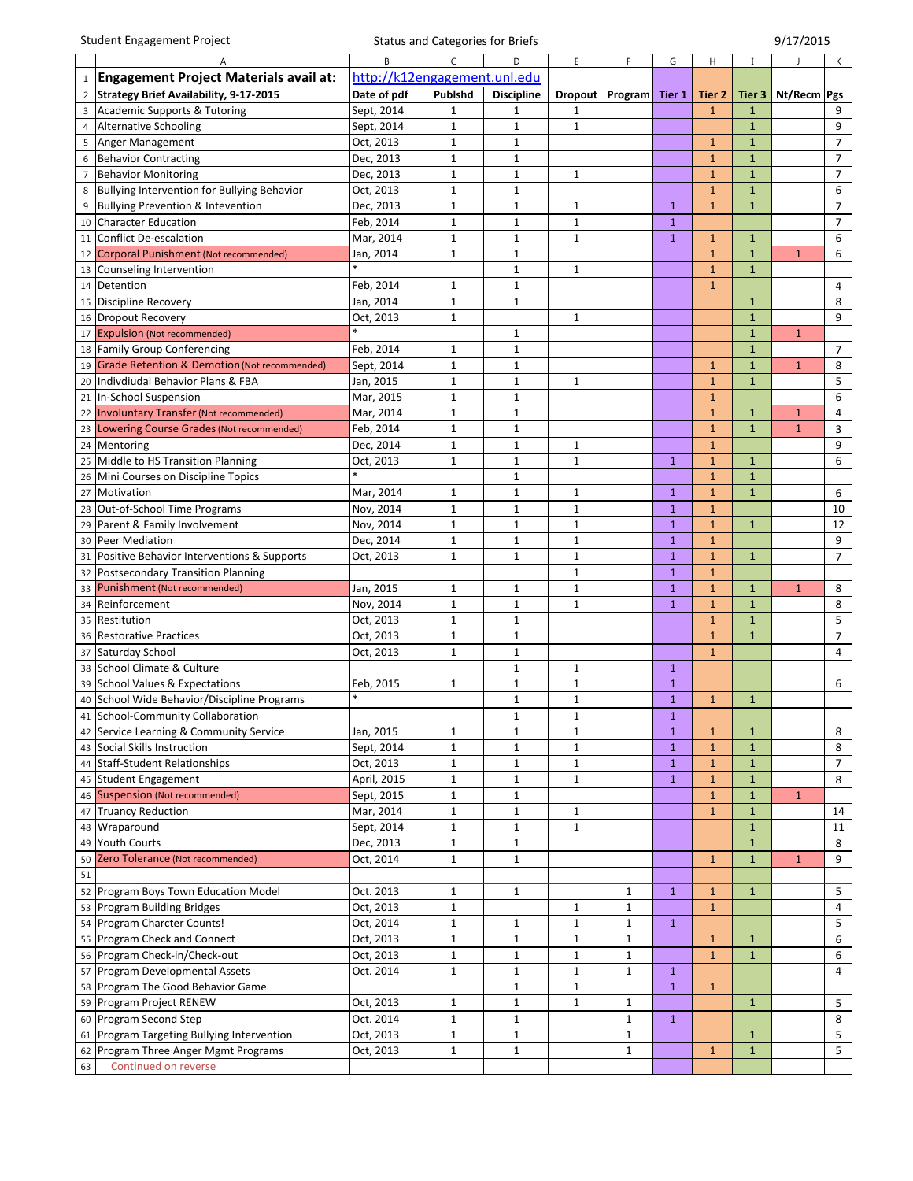|                | <b>Student Engagement Project</b>                       |                              | <b>Status and Categories for Briefs</b> |                   |                |              | 9/17/2015    |              |              |              |                 |
|----------------|---------------------------------------------------------|------------------------------|-----------------------------------------|-------------------|----------------|--------------|--------------|--------------|--------------|--------------|-----------------|
|                |                                                         |                              | C                                       | D                 | E              | F            | G            | H            |              |              | K               |
| $\mathbf{1}$   | <b>Engagement Project Materials avail at:</b>           | http://k12engagement.unl.edu |                                         |                   |                |              |              |              |              |              |                 |
| $\overline{2}$ | <b>Strategy Brief Availability, 9-17-2015</b>           | Date of pdf                  | Publshd                                 | <b>Discipline</b> | <b>Dropout</b> | Program      | Tier 1       | Tier 2       | Tier 3       | Nt/Recm Pgs  |                 |
|                | Academic Supports & Tutoring                            | Sept, 2014                   | $1\,$                                   | 1                 | 1              |              |              | $\mathbf{1}$ | $\mathbf{1}$ |              | 9               |
| 4              | <b>Alternative Schooling</b>                            | Sept, 2014                   | $\mathbf 1$                             | $\mathbf{1}$      | $\mathbf 1$    |              |              |              | $\mathbf{1}$ |              | 9               |
| 5              | Anger Management                                        | Oct, 2013                    | $1\,$                                   | 1                 |                |              |              | 1            | $\mathbf{1}$ |              | $\overline{7}$  |
| 6              | <b>Behavior Contracting</b>                             | Dec, 2013                    | 1                                       | 1                 |                |              |              | $\mathbf{1}$ | $\mathbf{1}$ |              | $\overline{7}$  |
| $\overline{7}$ | <b>Behavior Monitoring</b>                              | Dec, 2013                    | $\mathbf{1}$                            | $\mathbf{1}$      | $\mathbf{1}$   |              |              | $\mathbf{1}$ | $\mathbf{1}$ |              | $\overline{7}$  |
| 8              | Bullying Intervention for Bullying Behavior             | Oct, 2013                    | $\mathbf{1}$                            | $\mathbf{1}$      |                |              |              | $\mathbf{1}$ | $\mathbf{1}$ |              | 6               |
|                | Bullying Prevention & Intevention                       | Dec, 2013                    | $\mathbf{1}$                            | $\mathbf{1}$      | 1              |              | $\mathbf{1}$ | $\mathbf{1}$ | $\mathbf{1}$ |              | 7               |
| 10             | <b>Character Education</b>                              | Feb, 2014                    | $1\,$                                   | $\mathbf{1}$      | $\mathbf{1}$   |              | $\mathbf{1}$ |              |              |              | $7^{\circ}$     |
| $11\,$         | <b>Conflict De-escalation</b>                           | Mar, 2014                    | $1\,$                                   | $\mathbf{1}$      | $\mathbf{1}$   |              | $\mathbf{1}$ | $\mathbf{1}$ | $\mathbf{1}$ |              | 6               |
| 12             | Corporal Punishment (Not recommended)                   | Jan, 2014                    | $\mathbf{1}$                            | $\mathbf 1$       |                |              |              | $\mathbf{1}$ | $\mathbf{1}$ | $\mathbf{1}$ | 6               |
|                | 13 Counseling Intervention                              |                              |                                         | $\mathbf{1}$      | $\mathbf{1}$   |              |              | $\mathbf{1}$ | $\mathbf{1}$ |              |                 |
| 14             | Detention                                               | Feb, 2014                    | $\mathbf 1$                             | $\mathbf{1}$      |                |              |              | $\mathbf{1}$ |              |              | $\overline{4}$  |
| 15             | <b>Discipline Recovery</b>                              | Jan, 2014                    | $1\,$                                   | $\mathbf{1}$      |                |              |              |              | $\mathbf{1}$ |              | 8               |
|                | 16 Dropout Recovery                                     | Oct, 2013                    | $1\,$                                   |                   | 1              |              |              |              | $\mathbf{1}$ |              | 9               |
| 17             | <b>Expulsion (Not recommended)</b>                      |                              |                                         | $\mathbf{1}$      |                |              |              |              | $\mathbf{1}$ | $\mathbf{1}$ |                 |
|                | 18 Family Group Conferencing                            | Feb, 2014                    | $\mathbf{1}$                            | $\mathbf{1}$      |                |              |              |              | $\mathbf{1}$ |              | $\overline{7}$  |
| 19             | <b>Grade Retention &amp; Demotion (Not recommended)</b> | Sept, 2014                   | $1\,$                                   | $\mathbf{1}$      |                |              |              | $\mathbf{1}$ | $\mathbf{1}$ | $\mathbf{1}$ | 8               |
|                | 20   Indivdiudal Behavior Plans & FBA                   | Jan, 2015                    | $1\,$                                   | $\mathbf{1}$      | 1              |              |              | $\mathbf{1}$ | $\mathbf{1}$ |              | 5               |
|                | 21   In-School Suspension                               | Mar, 2015                    | $\mathbf 1$                             | $\mathbf 1$       |                |              |              | $\mathbf{1}$ |              |              | 6               |
|                | 22 Involuntary Transfer (Not recommended)               | Mar, 2014                    | $\mathbf 1$                             | $\mathbf{1}$      |                |              |              | $\mathbf{1}$ | $\mathbf{1}$ | $\mathbf{1}$ | 4               |
|                | 23 Lowering Course Grades (Not recommended)             | Feb, 2014                    | $1\,$                                   | $\mathbf{1}$      |                |              |              | $1\,$        | $\mathbf{1}$ | $\mathbf{1}$ | 3               |
|                | 24 Mentoring                                            | Dec, 2014                    | 1                                       | 1                 | 1              |              |              | $\mathbf{1}$ |              |              | 9               |
|                | 25 Middle to HS Transition Planning                     | Oct, 2013                    | $\mathbf{1}$                            | $\mathbf{1}$      | $\mathbf{1}$   |              | $\mathbf{1}$ | $\mathbf{1}$ | $\mathbf{1}$ |              | 6               |
| 26             | Mini Courses on Discipline Topics                       |                              |                                         | $\mathbf{1}$      |                |              |              | $\mathbf{1}$ | $\mathbf{1}$ |              |                 |
|                | 27 Motivation                                           | Mar, 2014                    | $\mathbf{1}$                            | $\mathbf{1}$      | $\mathbf{1}$   |              | $\mathbf{1}$ | $\mathbf{1}$ | $\mathbf{1}$ |              | 6               |
| 28             | Out-of-School Time Programs                             | Nov, 2014                    | $1\,$                                   | $\mathbf{1}$      | $\mathbf{1}$   |              | 1            | $\mathbf{1}$ |              |              | 10              |
|                | 29 Parent & Family Involvement                          | Nov, 2014                    | $1\,$                                   | $\mathbf{1}$      | $\mathbf{1}$   |              | $\mathbf{1}$ | $\mathbf{1}$ | $\mathbf{1}$ |              | 12              |
| 30             | Peer Mediation                                          | Dec, 2014                    | $\mathbf 1$                             | $\mathbf 1$       | $\mathbf 1$    |              | 1            | $\mathbf{1}$ |              |              | 9               |
| 31             | Positive Behavior Interventions & Supports              | Oct, 2013                    | $\mathbf{1}$                            | $\mathbf{1}$      | $\mathbf{1}$   |              | $\mathbf{1}$ | $\mathbf{1}$ | $\mathbf{1}$ |              | $7\overline{ }$ |
| 32             | Postsecondary Transition Planning                       |                              |                                         |                   | $\mathbf{1}$   |              | $\mathbf{1}$ | $\mathbf{1}$ |              |              |                 |
| 33             | Punishment (Not recommended)                            | Jan, 2015                    | 1                                       | 1                 | 1              |              | $\mathbf{1}$ | $\mathbf{1}$ | $\mathbf{1}$ | $\mathbf{1}$ | 8               |
|                | 34 Reinforcement                                        | Nov, 2014                    | $\mathbf{1}$                            | $\mathbf{1}$      | $\mathbf{1}$   |              | $\mathbf{1}$ | $\mathbf{1}$ | $\mathbf{1}$ |              | 8               |
| 35             | Restitution                                             | Oct, 2013                    | $\mathbf{1}$                            | $\mathbf 1$       |                |              |              | $\mathbf{1}$ | $\mathbf{1}$ |              | 5               |
| 36             | <b>Restorative Practices</b>                            | Oct, 2013                    | $1\,$                                   | $\mathbf{1}$      |                |              |              | $\mathbf{1}$ | $\mathbf{1}$ |              | $\overline{7}$  |
| 37             | Saturday School                                         | Oct, 2013                    | $1\,$                                   | $\mathbf{1}$      |                |              |              | $\mathbf{1}$ |              |              | 4               |
| 38             | School Climate & Culture                                |                              |                                         | $\mathbf{1}$      | 1              |              | $\mathbf{1}$ |              |              |              |                 |
|                | 39 School Values & Expectations                         | Feb, 2015                    | $\mathbf 1$                             | $\mathbf{1}$      | $\mathbf 1$    |              | $\mathbf{1}$ |              |              |              | 6               |
|                | 40 School Wide Behavior/Discipline Programs             |                              |                                         | $\mathbf 1$       | $\mathbf 1$    |              | $\mathbf{1}$ | $\mathbf{1}$ | $\mathbf{1}$ |              |                 |
|                | 41 School-Community Collaboration                       |                              |                                         | $\mathbf{1}$      | $\mathbf{1}$   |              | $\mathbf{1}$ |              |              |              |                 |
|                | 42 Service Learning & Community Service                 | Jan, 2015                    | 1                                       | $\mathbf{1}$      | $\mathbf{1}$   |              | $\mathbf{1}$ | $\mathbf{1}$ | $\mathbf{1}$ |              | 8               |
|                | 43 Social Skills Instruction                            | Sept, 2014                   | $1\,$                                   | $\mathbf{1}$      | $\mathbf{1}$   |              | $\mathbf{1}$ | $\mathbf{1}$ | $\mathbf{1}$ |              | 8               |
|                | 44 Staff-Student Relationships                          | Oct, 2013                    | $\mathbf 1$                             | $\mathbf{1}$      | $1\,$          |              | $\mathbf{1}$ | $1\,$        | $\mathbf{1}$ |              | $\overline{7}$  |
|                | 45 Student Engagement                                   | April, 2015                  | $\mathbf 1$                             | $\mathbf 1$       | $\mathbf 1$    |              | $\mathbf{1}$ | $\mathbf 1$  | $\mathbf 1$  |              | 8               |
| 46             | <b>Suspension (Not recommended)</b>                     | Sept, 2015                   | $\mathbf 1$                             | $\mathbf{1}$      |                |              |              | $\mathbf{1}$ | $\mathbf 1$  | $\mathbf{1}$ |                 |
|                | 47 Truancy Reduction                                    | Mar, 2014                    | $1\,$                                   | $\mathbf{1}$      | $\mathbf{1}$   |              |              | $\mathbf{1}$ | $\mathbf{1}$ |              | 14              |
|                | 48 Wraparound                                           | Sept, 2014                   | $1\,$                                   | $\mathbf{1}$      | $\mathbf{1}$   |              |              |              | $\mathbf{1}$ |              | 11              |
| 49             | <b>Youth Courts</b>                                     | Dec, 2013                    | $1\,$                                   | $\mathbf{1}$      |                |              |              |              | $\mathbf{1}$ |              | 8               |
| 50             | Zero Tolerance (Not recommended)                        | Oct, 2014                    | $\mathbf 1$                             | $\mathbf{1}$      |                |              |              | $\mathbf{1}$ | $\mathbf{1}$ | $\mathbf{1}$ | 9               |
| 51             |                                                         |                              |                                         |                   |                |              |              |              |              |              |                 |
|                | 52 Program Boys Town Education Model                    | Oct. 2013                    | 1                                       | $\mathbf{1}$      |                | 1            | $\mathbf{1}$ | $\mathbf{1}$ | $\mathbf{1}$ |              | 5               |
|                | 53 Program Building Bridges                             | Oct, 2013                    | $\mathbf{1}$                            |                   | 1              | $\mathbf 1$  |              | $\mathbf{1}$ |              |              | 4               |
|                | 54 Program Charcter Counts!                             | Oct, 2014                    | $\mathbf 1$                             | $\mathbf 1$       | $\mathbf 1$    | $\mathbf 1$  | $\mathbf{1}$ |              |              |              | $5\phantom{.0}$ |
|                | 55 Program Check and Connect                            | Oct, 2013                    | $\mathbf 1$                             | $\mathbf{1}$      | $\mathbf{1}$   | $\mathbf 1$  |              | $\mathbf{1}$ | $\mathbf{1}$ |              | 6               |
|                | 56 Program Check-in/Check-out                           | Oct, 2013                    | 1                                       | $\mathbf{1}$      | $\mathbf{1}$   | 1            |              | $\mathbf{1}$ | $\mathbf{1}$ |              | 6               |
|                | 57 Program Developmental Assets                         | Oct. 2014                    | $\mathbf 1$                             | $\mathbf{1}$      | $1\,$          | 1            | $\mathbf{1}$ |              |              |              | 4               |
|                | 58 Program The Good Behavior Game                       |                              |                                         | $\mathbf 1$       | $\mathbf 1$    |              | $\mathbf{1}$ | $\mathbf{1}$ |              |              |                 |
|                | 59 Program Project RENEW                                | Oct, 2013                    | $\mathbf{1}$                            | $\mathbf{1}$      | $\mathbf{1}$   | $\mathbf{1}$ |              |              | $\mathbf 1$  |              | $5\phantom{.0}$ |
|                | 60 Program Second Step                                  | Oct. 2014                    | $\mathbf{1}$                            | $\mathbf{1}$      |                | $\mathbf{1}$ | $\mathbf{1}$ |              |              |              | 8               |
|                | 61 Program Targeting Bullying Intervention              | Oct, 2013                    | $\mathbf{1}$                            | $\mathbf{1}$      |                | 1            |              |              | $\mathbf{1}$ |              | 5               |
|                | 62 Program Three Anger Mgmt Programs                    | Oct, 2013                    | $\mathbf{1}$                            | $\mathbf{1}$      |                | $\mathbf{1}$ |              | $\mathbf{1}$ | $\mathbf{1}$ |              | 5               |
| 63             | Continued on reverse                                    |                              |                                         |                   |                |              |              |              |              |              |                 |